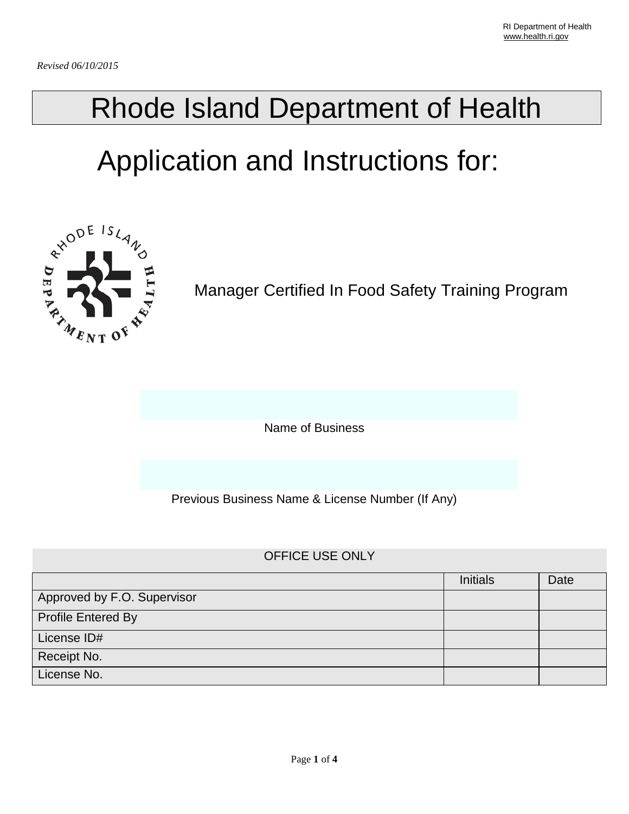## Rhode Island Department of Health

# Application and Instructions for:



Manager Certified In Food Safety Training Program

Name of Business

Previous Business Name & License Number (If Any)

#### OFFICE USE ONLY

|                             | <b>Initials</b> | Date |
|-----------------------------|-----------------|------|
| Approved by F.O. Supervisor |                 |      |
| <b>Profile Entered By</b>   |                 |      |
| License ID#                 |                 |      |
| Receipt No.                 |                 |      |
| License No.                 |                 |      |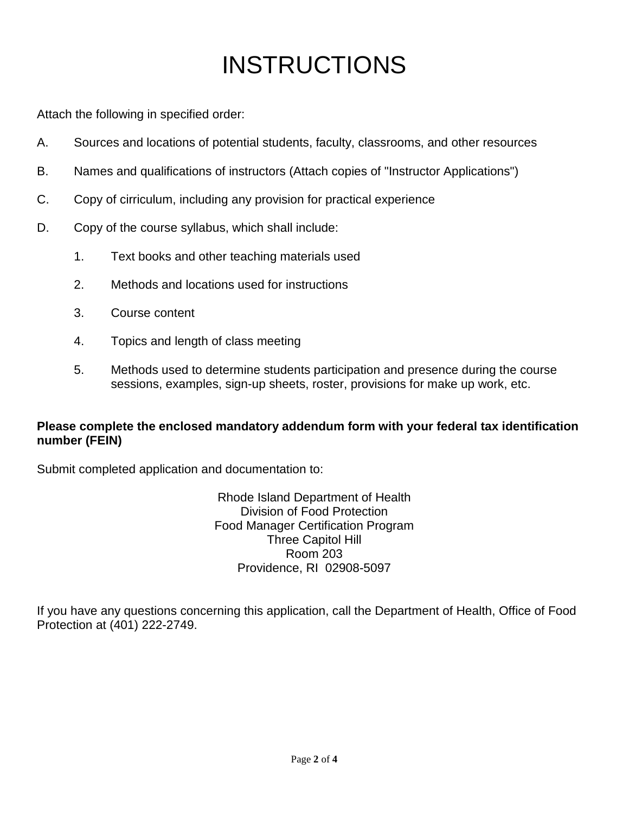### INSTRUCTIONS

Attach the following in specified order:

- A. Sources and locations of potential students, faculty, classrooms, and other resources
- B. Names and qualifications of instructors (Attach copies of "Instructor Applications")
- C. Copy of cirriculum, including any provision for practical experience
- D. Copy of the course syllabus, which shall include:
	- 1. Text books and other teaching materials used
	- 2. Methods and locations used for instructions
	- 3. Course content
	- 4. Topics and length of class meeting
	- 5. Methods used to determine students participation and presence during the course sessions, examples, sign-up sheets, roster, provisions for make up work, etc.

#### **Please complete the enclosed mandatory addendum form with your federal tax identification number (FEIN)**

Submit completed application and documentation to:

Rhode Island Department of Health Division of Food Protection Food Manager Certification Program Three Capitol Hill Room 203 Providence, RI 02908-5097

If you have any questions concerning this application, call the Department of Health, Office of Food Protection at (401) 222-2749.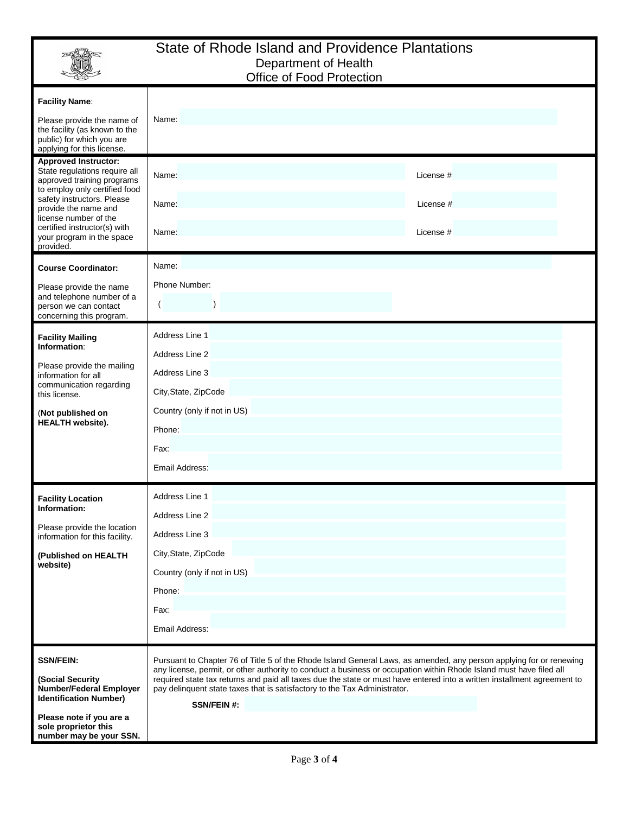|                                                                                                                                                                                                                                                                                      | State of Rhode Island and Providence Plantations<br>Department of Health<br>Office of Food Protection                                                                                                                                                                                                                                                                                                                                                                     |  |  |
|--------------------------------------------------------------------------------------------------------------------------------------------------------------------------------------------------------------------------------------------------------------------------------------|---------------------------------------------------------------------------------------------------------------------------------------------------------------------------------------------------------------------------------------------------------------------------------------------------------------------------------------------------------------------------------------------------------------------------------------------------------------------------|--|--|
| <b>Facility Name:</b><br>Please provide the name of<br>the facility (as known to the<br>public) for which you are<br>applying for this license.                                                                                                                                      | Name:                                                                                                                                                                                                                                                                                                                                                                                                                                                                     |  |  |
| <b>Approved Instructor:</b><br>State regulations require all<br>approved training programs<br>to employ only certified food<br>safety instructors. Please<br>provide the name and<br>license number of the<br>certified instructor(s) with<br>your program in the space<br>provided. | Name:<br>License #<br>Name:<br>License #<br>Name:<br>License #                                                                                                                                                                                                                                                                                                                                                                                                            |  |  |
| <b>Course Coordinator:</b><br>Please provide the name<br>and telephone number of a<br>person we can contact<br>concerning this program.                                                                                                                                              | Name:<br>Phone Number:<br>$\lambda$                                                                                                                                                                                                                                                                                                                                                                                                                                       |  |  |
| <b>Facility Mailing</b><br>Information:<br>Please provide the mailing<br>information for all<br>communication regarding<br>this license.<br>(Not published on<br><b>HEALTH</b> website).                                                                                             | Address Line 1<br>Address Line 2<br>Address Line 3<br>City, State, ZipCode<br>Country (only if not in US)<br>Phone:<br>Fax:<br>Email Address:                                                                                                                                                                                                                                                                                                                             |  |  |
| <b>Facility Location</b><br>Information:<br>Please provide the location<br>information for this facility.<br>(Published on HEALTH<br>website)                                                                                                                                        | Address Line 1<br>Address Line 2<br>Address Line 3<br>City, State, ZipCode<br>Country (only if not in US)<br>Phone:<br>Fax:<br>Email Address:                                                                                                                                                                                                                                                                                                                             |  |  |
| <b>SSN/FEIN:</b><br>(Social Security<br><b>Number/Federal Employer</b><br><b>Identification Number)</b><br>Please note if you are a<br>sole proprietor this<br>number may be your SSN.                                                                                               | Pursuant to Chapter 76 of Title 5 of the Rhode Island General Laws, as amended, any person applying for or renewing<br>any license, permit, or other authority to conduct a business or occupation within Rhode Island must have filed all<br>required state tax returns and paid all taxes due the state or must have entered into a written installment agreement to<br>pay delinquent state taxes that is satisfactory to the Tax Administrator.<br><b>SSN/FEIN #:</b> |  |  |